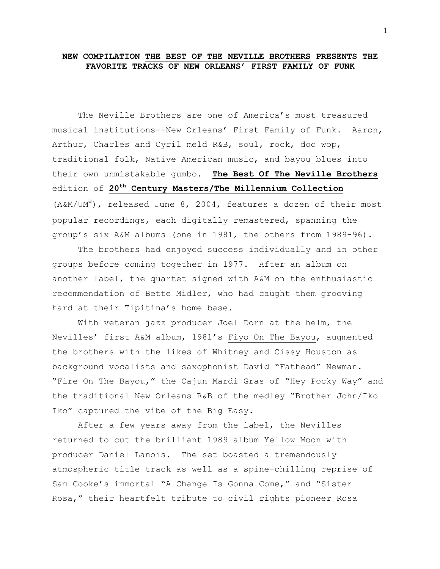## **NEW COMPILATION THE BEST OF THE NEVILLE BROTHERS PRESENTS THE FAVORITE TRACKS OF NEW ORLEANS' FIRST FAMILY OF FUNK**

The Neville Brothers are one of America's most treasured musical institutions--New Orleans' First Family of Funk. Aaron, Arthur, Charles and Cyril meld R&B, soul, rock, doo wop, traditional folk, Native American music, and bayou blues into their own unmistakable gumbo. **The Best Of The Neville Brothers** edition of **20th Century Masters/The Millennium Collection** (A&M/UM<sup>e</sup>), released June 8, 2004, features a dozen of their most popular recordings, each digitally remastered, spanning the group's six A&M albums (one in 1981, the others from 1989-96).

The brothers had enjoyed success individually and in other groups before coming together in 1977. After an album on another label, the quartet signed with A&M on the enthusiastic recommendation of Bette Midler, who had caught them grooving hard at their Tipitina's home base.

With veteran jazz producer Joel Dorn at the helm, the Nevilles' first A&M album, 1981's Fiyo On The Bayou, augmented the brothers with the likes of Whitney and Cissy Houston as background vocalists and saxophonist David "Fathead" Newman. "Fire On The Bayou," the Cajun Mardi Gras of "Hey Pocky Way" and the traditional New Orleans R&B of the medley "Brother John/Iko Iko" captured the vibe of the Big Easy.

After a few years away from the label, the Nevilles returned to cut the brilliant 1989 album Yellow Moon with producer Daniel Lanois. The set boasted a tremendously atmospheric title track as well as a spine-chilling reprise of Sam Cooke's immortal "A Change Is Gonna Come," and "Sister Rosa," their heartfelt tribute to civil rights pioneer Rosa